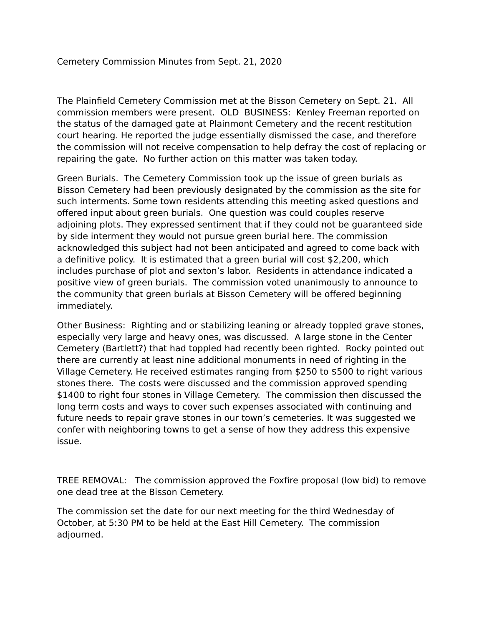The Plainfield Cemetery Commission met at the Bisson Cemetery on Sept. 21. All commission members were present. OLD BUSINESS: Kenley Freeman reported on the status of the damaged gate at Plainmont Cemetery and the recent restitution court hearing. He reported the judge essentially dismissed the case, and therefore the commission will not receive compensation to help defray the cost of replacing or repairing the gate. No further action on this matter was taken today.

Green Burials. The Cemetery Commission took up the issue of green burials as Bisson Cemetery had been previously designated by the commission as the site for such interments. Some town residents attending this meeting asked questions and offered input about green burials. One question was could couples reserve adjoining plots. They expressed sentiment that if they could not be guaranteed side by side interment they would not pursue green burial here. The commission acknowledged this subject had not been anticipated and agreed to come back with a definitive policy. It is estimated that a green burial will cost \$2,200, which includes purchase of plot and sexton's labor. Residents in attendance indicated a positive view of green burials. The commission voted unanimously to announce to the community that green burials at Bisson Cemetery will be offered beginning immediately.

Other Business: Righting and or stabilizing leaning or already toppled grave stones, especially very large and heavy ones, was discussed. A large stone in the Center Cemetery (Bartlett?) that had toppled had recently been righted. Rocky pointed out there are currently at least nine additional monuments in need of righting in the Village Cemetery. He received estimates ranging from \$250 to \$500 to right various stones there. The costs were discussed and the commission approved spending \$1400 to right four stones in Village Cemetery. The commission then discussed the long term costs and ways to cover such expenses associated with continuing and future needs to repair grave stones in our town's cemeteries. It was suggested we confer with neighboring towns to get a sense of how they address this expensive issue.

TREE REMOVAL: The commission approved the Foxfire proposal (low bid) to remove one dead tree at the Bisson Cemetery.

The commission set the date for our next meeting for the third Wednesday of October, at 5:30 PM to be held at the East Hill Cemetery. The commission adjourned.